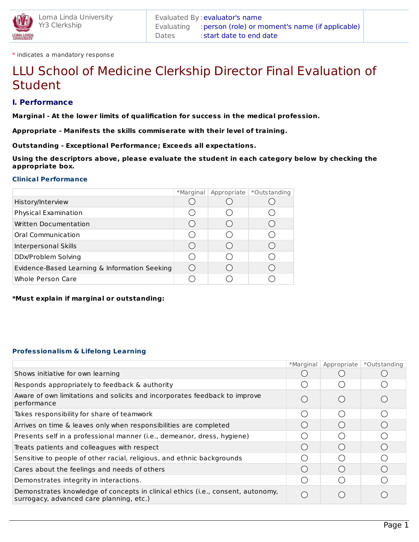\* indicates a mandatory response

# LLU School of Medicine Clerkship Director Final Evaluation of Student

# **I. Performance**

**Marginal - At the lower limits of qualification for success in the medical profession.**

**Appropriate - Manifests the skills commiserate with their level of training.**

**Outstanding - Exceptional Performance; Exceeds all expectations.**

**Using the descriptors above, please evaluate the student in each category below by checking the appropriate box.**

#### **Clinical Performance**

|                                               | *Marginal Appropriate | *Outstanding |
|-----------------------------------------------|-----------------------|--------------|
| History/Interview                             |                       |              |
| Physical Examination                          |                       |              |
| Written Documentation                         |                       |              |
| Oral Communication                            |                       |              |
| Interpersonal Skills                          |                       |              |
| DDx/Problem Solving                           |                       |              |
| Evidence-Based Learning & Information Seeking |                       |              |
| <b>Whole Person Care</b>                      |                       |              |

**\*Must explain if marginal or outstanding:**

#### **Professionalism & Lifelong Learning**

|                                                                                                                             | *Marginal | Appropriate      | *Outs tanding    |
|-----------------------------------------------------------------------------------------------------------------------------|-----------|------------------|------------------|
| Shows initiative for own learning                                                                                           |           |                  |                  |
| Responds appropriately to feedback & authority                                                                              |           |                  |                  |
| Aware of own limitations and solicits and incorporates feedback to improve<br>performance                                   |           |                  |                  |
| Takes responsibility for share of teamwork                                                                                  |           |                  | ◯                |
| Arrives on time & leaves only when responsibilities are completed                                                           |           |                  |                  |
| Presents self in a professional manner (i.e., demeanor, dress, hygiene)                                                     |           |                  |                  |
| Treats patients and colleagues with respect                                                                                 |           | $($ )            | $\left( \right)$ |
| Sensitive to people of other racial, religious, and ethnic backgrounds                                                      |           | ( )              |                  |
| Cares about the feelings and needs of others                                                                                |           | $\left( \right)$ |                  |
| Demonstrates integrity in interactions.                                                                                     |           |                  |                  |
| Demonstrates knowledge of concepts in clinical ethics (i.e., consent, autonomy,<br>surrogacy, advanced care planning, etc.) |           |                  |                  |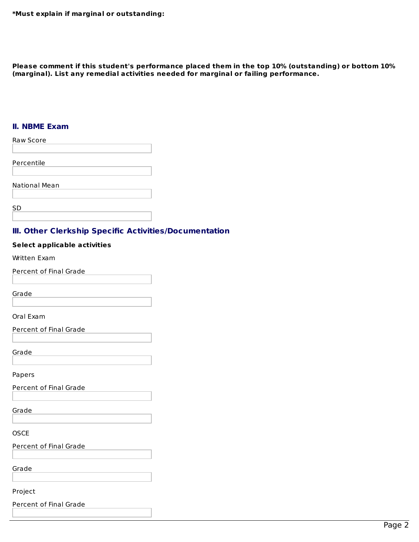**\*Must explain if marginal or outstanding:**

**Please comment if this student's performance placed them in the top 10% (outstanding) or bottom 10% (marginal). List any remedial activities needed for marginal or failing performance.**

## **II. NBME Exam**

| <b>Raw Score</b>     |  |
|----------------------|--|
|                      |  |
| Percentile           |  |
|                      |  |
| <b>National Mean</b> |  |
|                      |  |
| <b>SD</b>            |  |
|                      |  |

## **III. Other Clerkship Specific Activities/Documentation**

#### **Select applicable activities**

Written Exam

Percent of Final Grade

Grade

Oral Exam

Percent of Final Grade

Grade

Papers

Percent of Final Grade

Grade

**OSCE** 

Percent of Final Grade

Grade

Project

Percent of Final Grade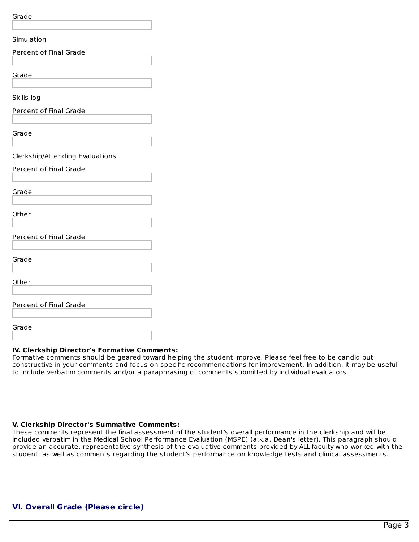Grade

## **IV. Clerkship Director's Formative Comments:**

Formative comments should be geared toward helping the student improve. Please feel free to be candid but constructive in your comments and focus on specific recommendations for improvement. In addition, it may be useful to include verbatim comments and/or a paraphrasing of comments submitted by individual evaluators.

## **V. Clerkship Director's Summative Comments:**

These comments represent the final assessment of the student's overall performance in the clerkship and will be included verbatim in the Medical School Performance Evaluation (MSPE) (a.k.a. Dean's letter). This paragraph should provide an accurate, representative synthesis of the evaluative comments provided by ALL faculty who worked with the student, as well as comments regarding the student's performance on knowledge tests and clinical assessments.